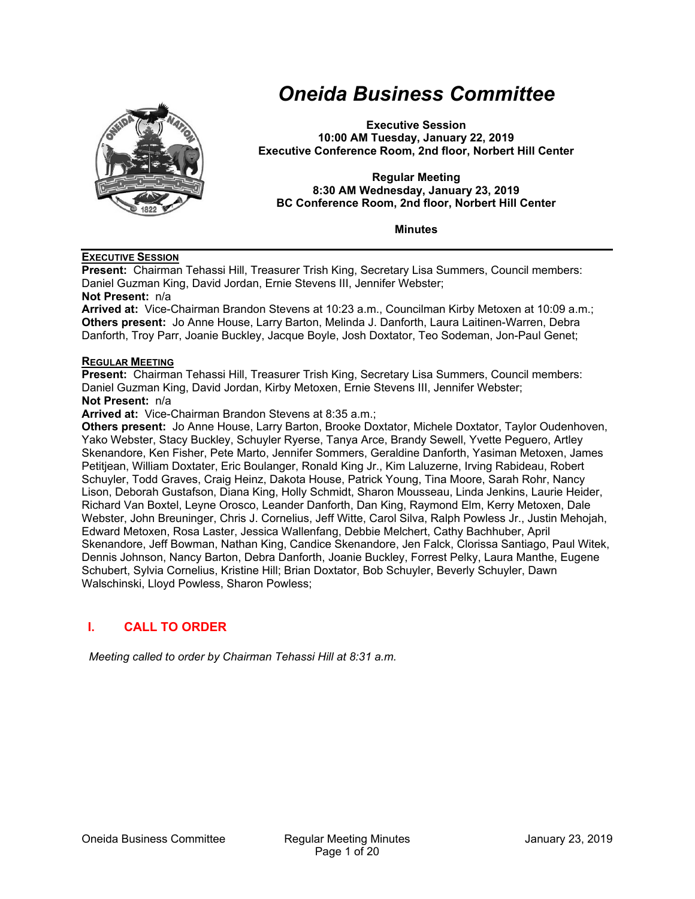

# *Oneida Business Committee*

**Executive Session 10:00 AM Tuesday, January 22, 2019 Executive Conference Room, 2nd floor, Norbert Hill Center** 

**Regular Meeting 8:30 AM Wednesday, January 23, 2019 BC Conference Room, 2nd floor, Norbert Hill Center** 

**Minutes** 

#### **EXECUTIVE SESSION**

**Present:** Chairman Tehassi Hill, Treasurer Trish King, Secretary Lisa Summers, Council members: Daniel Guzman King, David Jordan, Ernie Stevens III, Jennifer Webster;

**Not Present:** n/a

**Arrived at:** Vice-Chairman Brandon Stevens at 10:23 a.m., Councilman Kirby Metoxen at 10:09 a.m.; **Others present:** Jo Anne House, Larry Barton, Melinda J. Danforth, Laura Laitinen-Warren, Debra Danforth, Troy Parr, Joanie Buckley, Jacque Boyle, Josh Doxtator, Teo Sodeman, Jon-Paul Genet;

#### **REGULAR MEETING**

**Present:** Chairman Tehassi Hill, Treasurer Trish King, Secretary Lisa Summers, Council members: Daniel Guzman King, David Jordan, Kirby Metoxen, Ernie Stevens III, Jennifer Webster; **Not Present:** n/a

**Arrived at:** Vice-Chairman Brandon Stevens at 8:35 a.m.;

**Others present:** Jo Anne House, Larry Barton, Brooke Doxtator, Michele Doxtator, Taylor Oudenhoven, Yako Webster, Stacy Buckley, Schuyler Ryerse, Tanya Arce, Brandy Sewell, Yvette Peguero, Artley Skenandore, Ken Fisher, Pete Marto, Jennifer Sommers, Geraldine Danforth, Yasiman Metoxen, James Petitjean, William Doxtater, Eric Boulanger, Ronald King Jr., Kim Laluzerne, Irving Rabideau, Robert Schuyler, Todd Graves, Craig Heinz, Dakota House, Patrick Young, Tina Moore, Sarah Rohr, Nancy Lison, Deborah Gustafson, Diana King, Holly Schmidt, Sharon Mousseau, Linda Jenkins, Laurie Heider, Richard Van Boxtel, Leyne Orosco, Leander Danforth, Dan King, Raymond Elm, Kerry Metoxen, Dale Webster, John Breuninger, Chris J. Cornelius, Jeff Witte, Carol Silva, Ralph Powless Jr., Justin Mehojah, Edward Metoxen, Rosa Laster, Jessica Wallenfang, Debbie Melchert, Cathy Bachhuber, April Skenandore, Jeff Bowman, Nathan King, Candice Skenandore, Jen Falck, Clorissa Santiago, Paul Witek, Dennis Johnson, Nancy Barton, Debra Danforth, Joanie Buckley, Forrest Pelky, Laura Manthe, Eugene Schubert, Sylvia Cornelius, Kristine Hill; Brian Doxtator, Bob Schuyler, Beverly Schuyler, Dawn Walschinski, Lloyd Powless, Sharon Powless;

# **I. CALL TO ORDER**

*Meeting called to order by Chairman Tehassi Hill at 8:31 a.m.*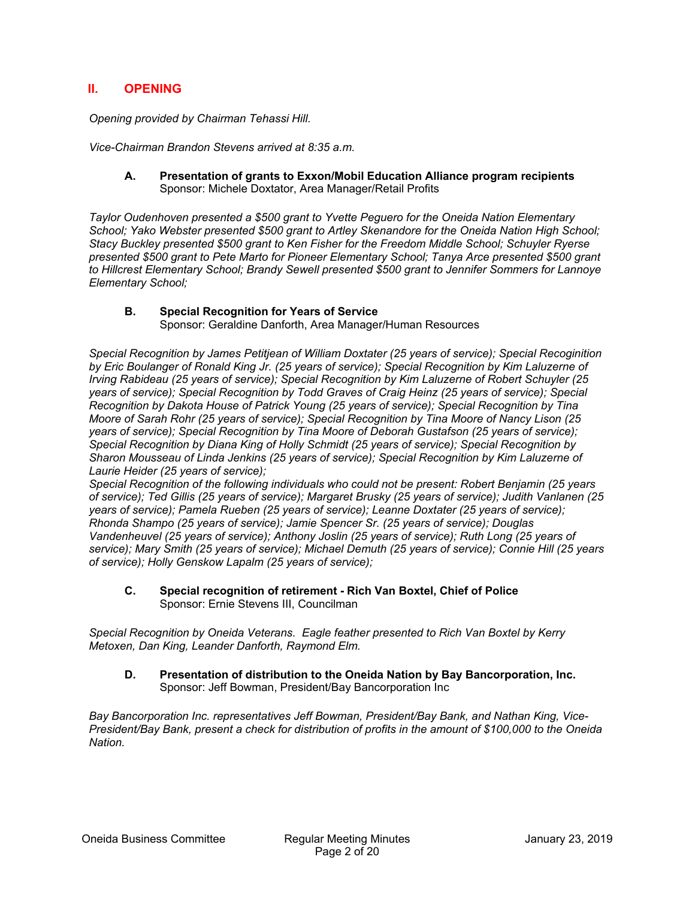# **II. OPENING**

*Opening provided by Chairman Tehassi Hill.* 

*Vice-Chairman Brandon Stevens arrived at 8:35 a.m.* 

#### **A. Presentation of grants to Exxon/Mobil Education Alliance program recipients**  Sponsor: Michele Doxtator, Area Manager/Retail Profits

*Taylor Oudenhoven presented a \$500 grant to Yvette Peguero for the Oneida Nation Elementary School; Yako Webster presented \$500 grant to Artley Skenandore for the Oneida Nation High School; Stacy Buckley presented \$500 grant to Ken Fisher for the Freedom Middle School; Schuyler Ryerse presented \$500 grant to Pete Marto for Pioneer Elementary School; Tanya Arce presented \$500 grant to Hillcrest Elementary School; Brandy Sewell presented \$500 grant to Jennifer Sommers for Lannoye Elementary School;* 

# **B. Special Recognition for Years of Service**

Sponsor: Geraldine Danforth, Area Manager/Human Resources

*Special Recognition by James Petitjean of William Doxtater (25 years of service); Special Recoginition by Eric Boulanger of Ronald King Jr. (25 years of service); Special Recognition by Kim Laluzerne of Irving Rabideau (25 years of service); Special Recognition by Kim Laluzerne of Robert Schuyler (25 years of service); Special Recognition by Todd Graves of Craig Heinz (25 years of service); Special Recognition by Dakota House of Patrick Young (25 years of service); Special Recognition by Tina Moore of Sarah Rohr (25 years of service); Special Recognition by Tina Moore of Nancy Lison (25 years of service); Special Recognition by Tina Moore of Deborah Gustafson (25 years of service); Special Recognition by Diana King of Holly Schmidt (25 years of service); Special Recognition by Sharon Mousseau of Linda Jenkins (25 years of service); Special Recognition by Kim Laluzerne of Laurie Heider (25 years of service);* 

*Special Recognition of the following individuals who could not be present: Robert Benjamin (25 years of service); Ted Gillis (25 years of service); Margaret Brusky (25 years of service); Judith Vanlanen (25 years of service); Pamela Rueben (25 years of service); Leanne Doxtater (25 years of service); Rhonda Shampo (25 years of service); Jamie Spencer Sr. (25 years of service); Douglas Vandenheuvel (25 years of service); Anthony Joslin (25 years of service); Ruth Long (25 years of service); Mary Smith (25 years of service); Michael Demuth (25 years of service); Connie Hill (25 years of service); Holly Genskow Lapalm (25 years of service);* 

#### **C. Special recognition of retirement - Rich Van Boxtel, Chief of Police**  Sponsor: Ernie Stevens III, Councilman

*Special Recognition by Oneida Veterans. Eagle feather presented to Rich Van Boxtel by Kerry Metoxen, Dan King, Leander Danforth, Raymond Elm.* 

#### **D. Presentation of distribution to the Oneida Nation by Bay Bancorporation, Inc.**  Sponsor: Jeff Bowman, President/Bay Bancorporation Inc

*Bay Bancorporation Inc. representatives Jeff Bowman, President/Bay Bank, and Nathan King, Vice-President/Bay Bank, present a check for distribution of profits in the amount of \$100,000 to the Oneida Nation.*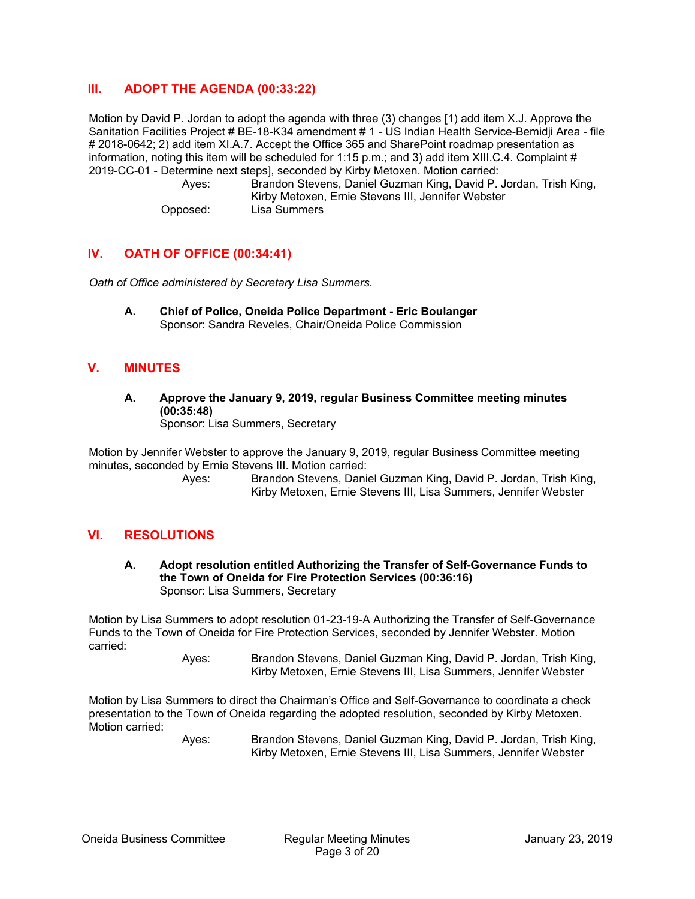# **III. ADOPT THE AGENDA (00:33:22)**

Motion by David P. Jordan to adopt the agenda with three (3) changes [1) add item X.J. Approve the Sanitation Facilities Project # BE-18-K34 amendment # 1 - US Indian Health Service-Bemidji Area - file # 2018-0642; 2) add item XI.A.7. Accept the Office 365 and SharePoint roadmap presentation as information, noting this item will be scheduled for 1:15 p.m.; and 3) add item XIII.C.4. Complaint # 2019-CC-01 - Determine next steps], seconded by Kirby Metoxen. Motion carried:

 Ayes: Brandon Stevens, Daniel Guzman King, David P. Jordan, Trish King, Kirby Metoxen, Ernie Stevens III, Jennifer Webster Opposed: Lisa Summers

# **IV. OATH OF OFFICE (00:34:41)**

*Oath of Office administered by Secretary Lisa Summers.* 

**A. Chief of Police, Oneida Police Department - Eric Boulanger**  Sponsor: Sandra Reveles, Chair/Oneida Police Commission

# **V. MINUTES**

**A. Approve the January 9, 2019, regular Business Committee meeting minutes (00:35:48)**  Sponsor: Lisa Summers, Secretary

Motion by Jennifer Webster to approve the January 9, 2019, regular Business Committee meeting minutes, seconded by Ernie Stevens III. Motion carried:

 Ayes: Brandon Stevens, Daniel Guzman King, David P. Jordan, Trish King, Kirby Metoxen, Ernie Stevens III, Lisa Summers, Jennifer Webster

#### **VI. RESOLUTIONS**

**A. Adopt resolution entitled Authorizing the Transfer of Self-Governance Funds to the Town of Oneida for Fire Protection Services (00:36:16)**  Sponsor: Lisa Summers, Secretary

Motion by Lisa Summers to adopt resolution 01-23-19-A Authorizing the Transfer of Self-Governance Funds to the Town of Oneida for Fire Protection Services, seconded by Jennifer Webster. Motion carried:

> Ayes: Brandon Stevens, Daniel Guzman King, David P. Jordan, Trish King, Kirby Metoxen, Ernie Stevens III, Lisa Summers, Jennifer Webster

Motion by Lisa Summers to direct the Chairman's Office and Self-Governance to coordinate a check presentation to the Town of Oneida regarding the adopted resolution, seconded by Kirby Metoxen. Motion carried: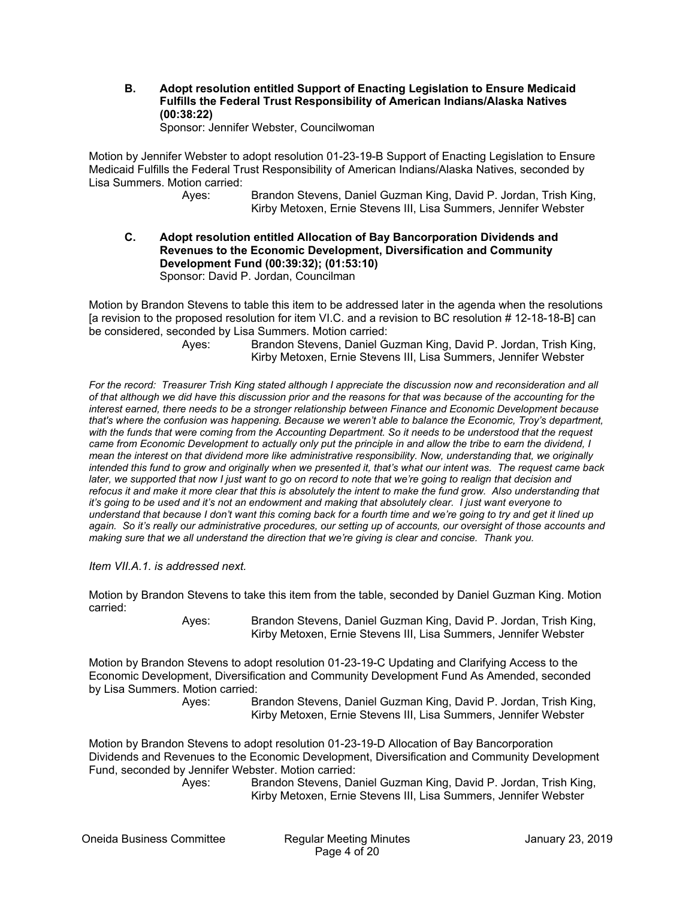**B. Adopt resolution entitled Support of Enacting Legislation to Ensure Medicaid Fulfills the Federal Trust Responsibility of American Indians/Alaska Natives (00:38:22)** 

Sponsor: Jennifer Webster, Councilwoman

Motion by Jennifer Webster to adopt resolution 01-23-19-B Support of Enacting Legislation to Ensure Medicaid Fulfills the Federal Trust Responsibility of American Indians/Alaska Natives, seconded by Lisa Summers. Motion carried:

 Ayes: Brandon Stevens, Daniel Guzman King, David P. Jordan, Trish King, Kirby Metoxen, Ernie Stevens III, Lisa Summers, Jennifer Webster

**C. Adopt resolution entitled Allocation of Bay Bancorporation Dividends and Revenues to the Economic Development, Diversification and Community Development Fund (00:39:32); (01:53:10)**  Sponsor: David P. Jordan, Councilman

Motion by Brandon Stevens to table this item to be addressed later in the agenda when the resolutions [a revision to the proposed resolution for item VI.C. and a revision to BC resolution # 12-18-18-B] can be considered, seconded by Lisa Summers. Motion carried:

 Ayes: Brandon Stevens, Daniel Guzman King, David P. Jordan, Trish King, Kirby Metoxen, Ernie Stevens III, Lisa Summers, Jennifer Webster

*For the record: Treasurer Trish King stated although I appreciate the discussion now and reconsideration and all of that although we did have this discussion prior and the reasons for that was because of the accounting for the interest earned, there needs to be a stronger relationship between Finance and Economic Development because that's where the confusion was happening. Because we weren't able to balance the Economic, Troy's department, with the funds that were coming from the Accounting Department. So it needs to be understood that the request came from Economic Development to actually only put the principle in and allow the tribe to earn the dividend, I mean the interest on that dividend more like administrative responsibility. Now, understanding that, we originally intended this fund to grow and originally when we presented it, that's what our intent was. The request came back later, we supported that now I just want to go on record to note that we're going to realign that decision and refocus it and make it more clear that this is absolutely the intent to make the fund grow. Also understanding that it's going to be used and it's not an endowment and making that absolutely clear. I just want everyone to understand that because I don't want this coming back for a fourth time and we're going to try and get it lined up again. So it's really our administrative procedures, our setting up of accounts, our oversight of those accounts and making sure that we all understand the direction that we're giving is clear and concise. Thank you.*

*Item VII.A.1. is addressed next.* 

Motion by Brandon Stevens to take this item from the table, seconded by Daniel Guzman King. Motion carried:

 Ayes: Brandon Stevens, Daniel Guzman King, David P. Jordan, Trish King, Kirby Metoxen, Ernie Stevens III, Lisa Summers, Jennifer Webster

Motion by Brandon Stevens to adopt resolution 01-23-19-C Updating and Clarifying Access to the Economic Development, Diversification and Community Development Fund As Amended, seconded by Lisa Summers. Motion carried:

 Ayes: Brandon Stevens, Daniel Guzman King, David P. Jordan, Trish King, Kirby Metoxen, Ernie Stevens III, Lisa Summers, Jennifer Webster

Motion by Brandon Stevens to adopt resolution 01-23-19-D Allocation of Bay Bancorporation Dividends and Revenues to the Economic Development, Diversification and Community Development Fund, seconded by Jennifer Webster. Motion carried:

 Ayes: Brandon Stevens, Daniel Guzman King, David P. Jordan, Trish King, Kirby Metoxen, Ernie Stevens III, Lisa Summers, Jennifer Webster

Oneida Business Committee Regular Meeting Minutes January 23, 2019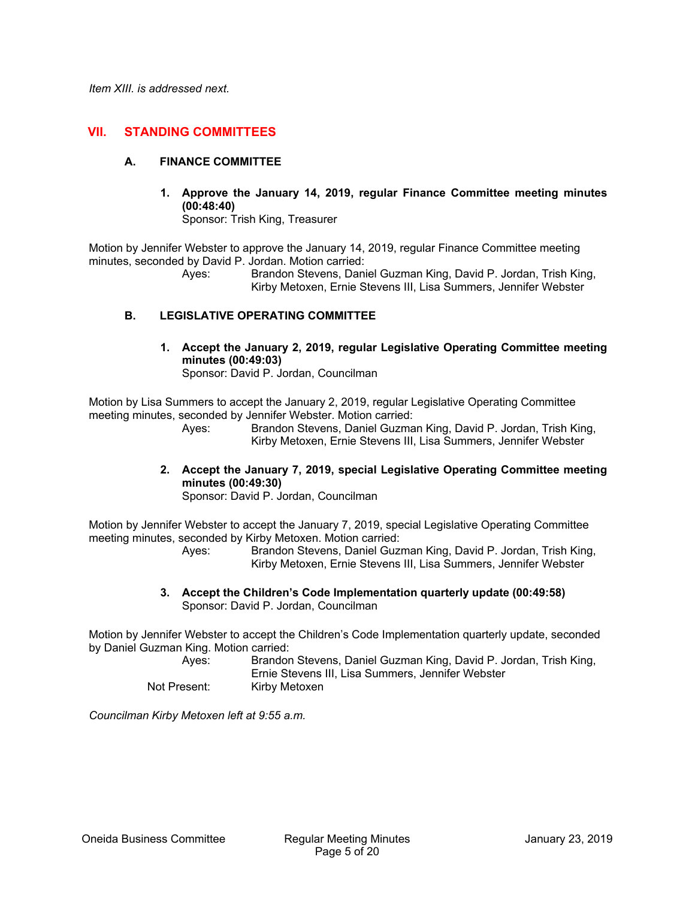# **VII. STANDING COMMITTEES**

#### **A. FINANCE COMMITTEE**

**1. Approve the January 14, 2019, regular Finance Committee meeting minutes (00:48:40)**  Sponsor: Trish King, Treasurer

Motion by Jennifer Webster to approve the January 14, 2019, regular Finance Committee meeting minutes, seconded by David P. Jordan. Motion carried:

> Ayes: Brandon Stevens, Daniel Guzman King, David P. Jordan, Trish King, Kirby Metoxen, Ernie Stevens III, Lisa Summers, Jennifer Webster

#### **B. LEGISLATIVE OPERATING COMMITTEE**

**1. Accept the January 2, 2019, regular Legislative Operating Committee meeting minutes (00:49:03)**  Sponsor: David P. Jordan, Councilman

Motion by Lisa Summers to accept the January 2, 2019, regular Legislative Operating Committee meeting minutes, seconded by Jennifer Webster. Motion carried:

 Ayes: Brandon Stevens, Daniel Guzman King, David P. Jordan, Trish King, Kirby Metoxen, Ernie Stevens III, Lisa Summers, Jennifer Webster

**2. Accept the January 7, 2019, special Legislative Operating Committee meeting minutes (00:49:30)** 

Sponsor: David P. Jordan, Councilman

Motion by Jennifer Webster to accept the January 7, 2019, special Legislative Operating Committee meeting minutes, seconded by Kirby Metoxen. Motion carried:

 Ayes: Brandon Stevens, Daniel Guzman King, David P. Jordan, Trish King, Kirby Metoxen, Ernie Stevens III, Lisa Summers, Jennifer Webster

**3. Accept the Children's Code Implementation quarterly update (00:49:58)**  Sponsor: David P. Jordan, Councilman

Motion by Jennifer Webster to accept the Children's Code Implementation quarterly update, seconded by Daniel Guzman King. Motion carried:

- Ayes: Brandon Stevens, Daniel Guzman King, David P. Jordan, Trish King,
- Ernie Stevens III, Lisa Summers, Jennifer Webster Not Present: Kirby Metoxen

*Councilman Kirby Metoxen left at 9:55 a.m.*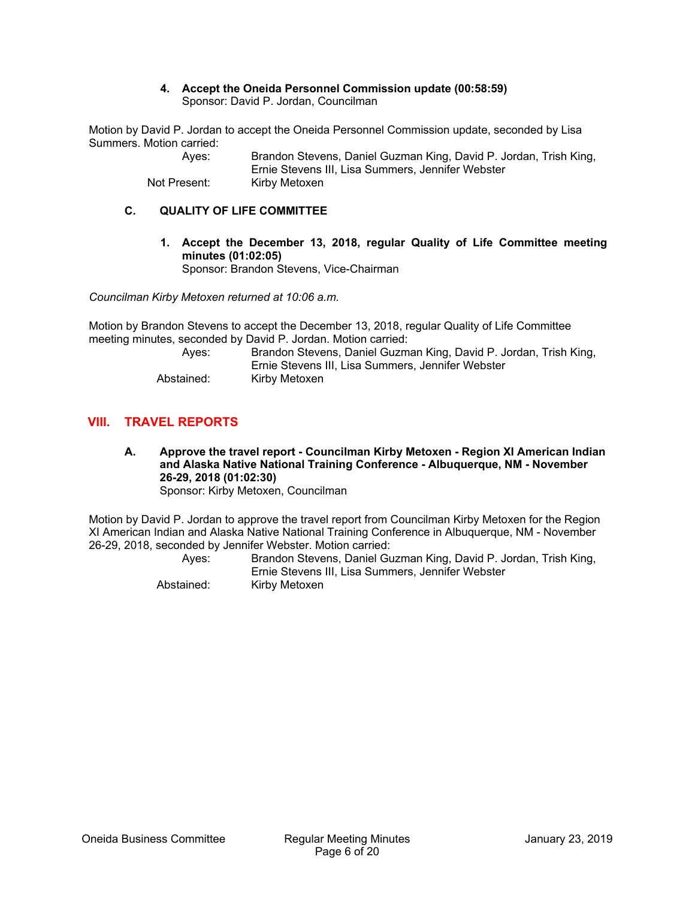#### **4. Accept the Oneida Personnel Commission update (00:58:59)**  Sponsor: David P. Jordan, Councilman

Motion by David P. Jordan to accept the Oneida Personnel Commission update, seconded by Lisa Summers. Motion carried:

| Aves:        | Brandon Stevens, Daniel Guzman King, David P. Jordan, Trish King, |
|--------------|-------------------------------------------------------------------|
|              | Ernie Stevens III, Lisa Summers, Jennifer Webster                 |
| Not Present: | Kirby Metoxen                                                     |

#### **C. QUALITY OF LIFE COMMITTEE**

**1. Accept the December 13, 2018, regular Quality of Life Committee meeting minutes (01:02:05)**  Sponsor: Brandon Stevens, Vice-Chairman

*Councilman Kirby Metoxen returned at 10:06 a.m.* 

Motion by Brandon Stevens to accept the December 13, 2018, regular Quality of Life Committee meeting minutes, seconded by David P. Jordan. Motion carried:

| Aves:      | Brandon Stevens, Daniel Guzman King, David P. Jordan, Trish King, |
|------------|-------------------------------------------------------------------|
|            | Ernie Stevens III. Lisa Summers. Jennifer Webster                 |
| Abstained: | Kirby Metoxen                                                     |

# **VIII. TRAVEL REPORTS**

**A. Approve the travel report - Councilman Kirby Metoxen - Region XI American Indian and Alaska Native National Training Conference - Albuquerque, NM - November 26-29, 2018 (01:02:30)**  Sponsor: Kirby Metoxen, Councilman

Motion by David P. Jordan to approve the travel report from Councilman Kirby Metoxen for the Region XI American Indian and Alaska Native National Training Conference in Albuquerque, NM - November 26-29, 2018, seconded by Jennifer Webster. Motion carried:

| Aves:      | Brandon Stevens, Daniel Guzman King, David P. Jordan, Trish King, |
|------------|-------------------------------------------------------------------|
|            | Ernie Stevens III. Lisa Summers. Jennifer Webster                 |
| Abstained: | Kirby Metoxen                                                     |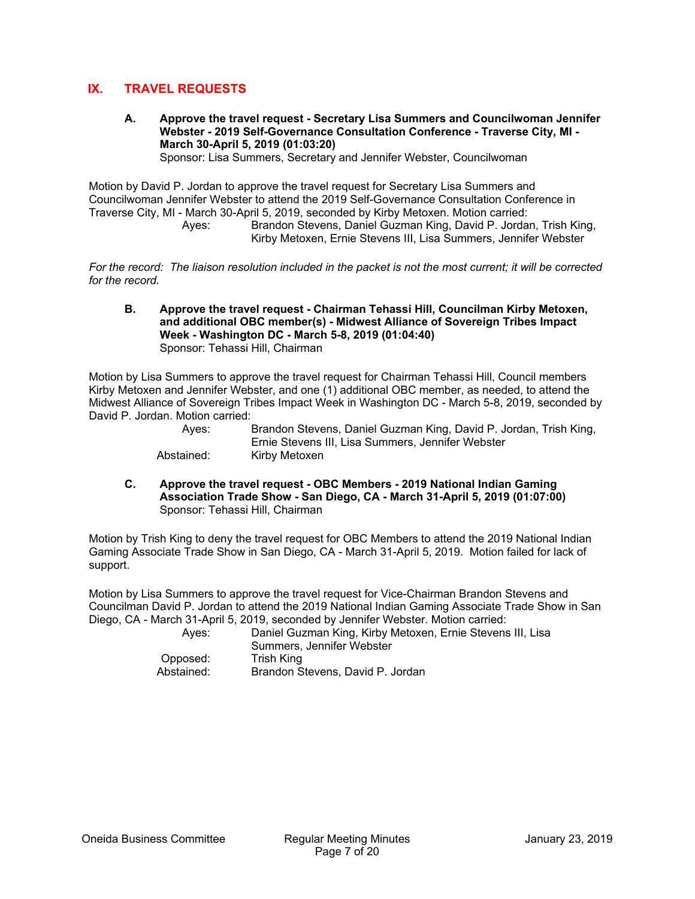# **IX. TRAVEL REQUESTS**

**A. Approve the travel request - Secretary Lisa Summers and Councilwoman Jennifer Webster - 2019 Self-Governance Consultation Conference - Traverse City, MI - March 30-April 5, 2019 (01:03:20)**  Sponsor: Lisa Summers, Secretary and Jennifer Webster, Councilwoman

Motion by David P. Jordan to approve the travel request for Secretary Lisa Summers and Councilwoman Jennifer Webster to attend the 2019 Self-Governance Consultation Conference in Traverse City, MI - March 30-April 5, 2019, seconded by Kirby Metoxen. Motion carried:

 Ayes: Brandon Stevens, Daniel Guzman King, David P. Jordan, Trish King, Kirby Metoxen, Ernie Stevens III, Lisa Summers, Jennifer Webster

*For the record: The liaison resolution included in the packet is not the most current; it will be corrected for the record.* 

#### **B. Approve the travel request - Chairman Tehassi Hill, Councilman Kirby Metoxen, and additional OBC member(s) - Midwest Alliance of Sovereign Tribes Impact Week - Washington DC - March 5-8, 2019 (01:04:40)**  Sponsor: Tehassi Hill, Chairman

Motion by Lisa Summers to approve the travel request for Chairman Tehassi Hill, Council members Kirby Metoxen and Jennifer Webster, and one (1) additional OBC member, as needed, to attend the Midwest Alliance of Sovereign Tribes Impact Week in Washington DC - March 5-8, 2019, seconded by David P. Jordan. Motion carried:

| Aves:      | Brandon Stevens, Daniel Guzman King, David P. Jordan, Trish King, |
|------------|-------------------------------------------------------------------|
|            | Ernie Stevens III, Lisa Summers, Jennifer Webster                 |
| Abstained: | Kirby Metoxen                                                     |

**C. Approve the travel request - OBC Members - 2019 National Indian Gaming Association Trade Show - San Diego, CA - March 31-April 5, 2019 (01:07:00)**  Sponsor: Tehassi Hill, Chairman

Motion by Trish King to deny the travel request for OBC Members to attend the 2019 National Indian Gaming Associate Trade Show in San Diego, CA - March 31-April 5, 2019. Motion failed for lack of support.

Motion by Lisa Summers to approve the travel request for Vice-Chairman Brandon Stevens and Councilman David P. Jordan to attend the 2019 National Indian Gaming Associate Trade Show in San Diego, CA - March 31-April 5, 2019, seconded by Jennifer Webster. Motion carried:

| Aves:      | Daniel Guzman King, Kirby Metoxen, Ernie Stevens III, Lisa |
|------------|------------------------------------------------------------|
|            | Summers. Jennifer Webster                                  |
| Opposed:   | Trish King                                                 |
| Abstained: | Brandon Stevens, David P. Jordan                           |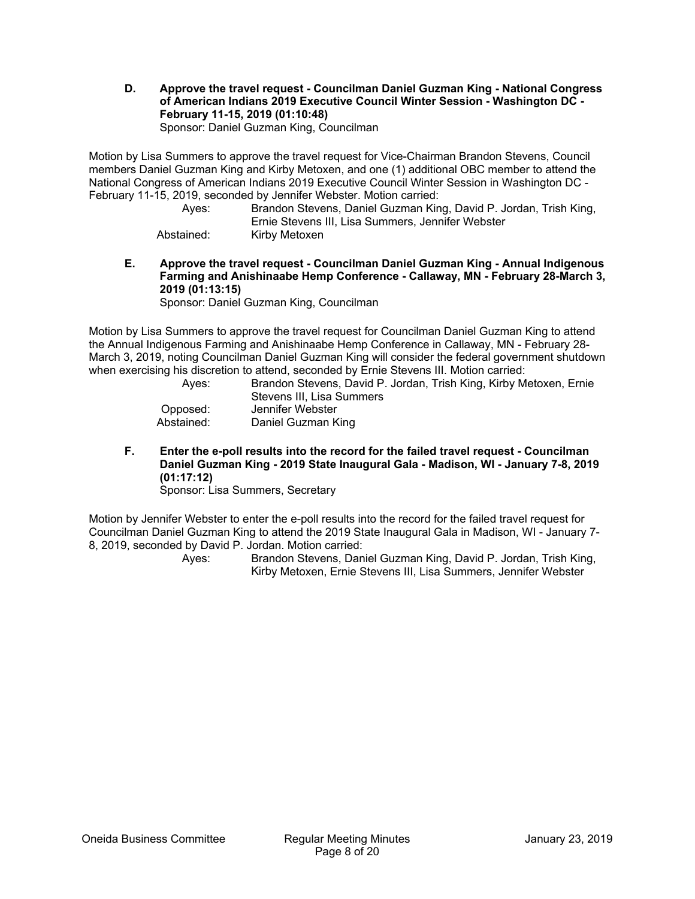**D. Approve the travel request - Councilman Daniel Guzman King - National Congress of American Indians 2019 Executive Council Winter Session - Washington DC - February 11-15, 2019 (01:10:48)**  Sponsor: Daniel Guzman King, Councilman

Motion by Lisa Summers to approve the travel request for Vice-Chairman Brandon Stevens, Council members Daniel Guzman King and Kirby Metoxen, and one (1) additional OBC member to attend the National Congress of American Indians 2019 Executive Council Winter Session in Washington DC - February 11-15, 2019, seconded by Jennifer Webster. Motion carried:

| Aves:      | Brandon Stevens, Daniel Guzman King, David P. Jordan, Trish King, |
|------------|-------------------------------------------------------------------|
|            | Ernie Stevens III, Lisa Summers, Jennifer Webster                 |
| Abstained: | Kirby Metoxen                                                     |

**E. Approve the travel request - Councilman Daniel Guzman King - Annual Indigenous Farming and Anishinaabe Hemp Conference - Callaway, MN - February 28-March 3, 2019 (01:13:15)** 

Sponsor: Daniel Guzman King, Councilman

Motion by Lisa Summers to approve the travel request for Councilman Daniel Guzman King to attend the Annual Indigenous Farming and Anishinaabe Hemp Conference in Callaway, MN - February 28- March 3, 2019, noting Councilman Daniel Guzman King will consider the federal government shutdown when exercising his discretion to attend, seconded by Ernie Stevens III. Motion carried:

 Ayes: Brandon Stevens, David P. Jordan, Trish King, Kirby Metoxen, Ernie Stevens III, Lisa Summers Opposed: Jennifer Webster Abstained: Daniel Guzman King

**F. Enter the e-poll results into the record for the failed travel request - Councilman Daniel Guzman King - 2019 State Inaugural Gala - Madison, WI - January 7-8, 2019 (01:17:12)** 

Sponsor: Lisa Summers, Secretary

Motion by Jennifer Webster to enter the e-poll results into the record for the failed travel request for Councilman Daniel Guzman King to attend the 2019 State Inaugural Gala in Madison, WI - January 7- 8, 2019, seconded by David P. Jordan. Motion carried: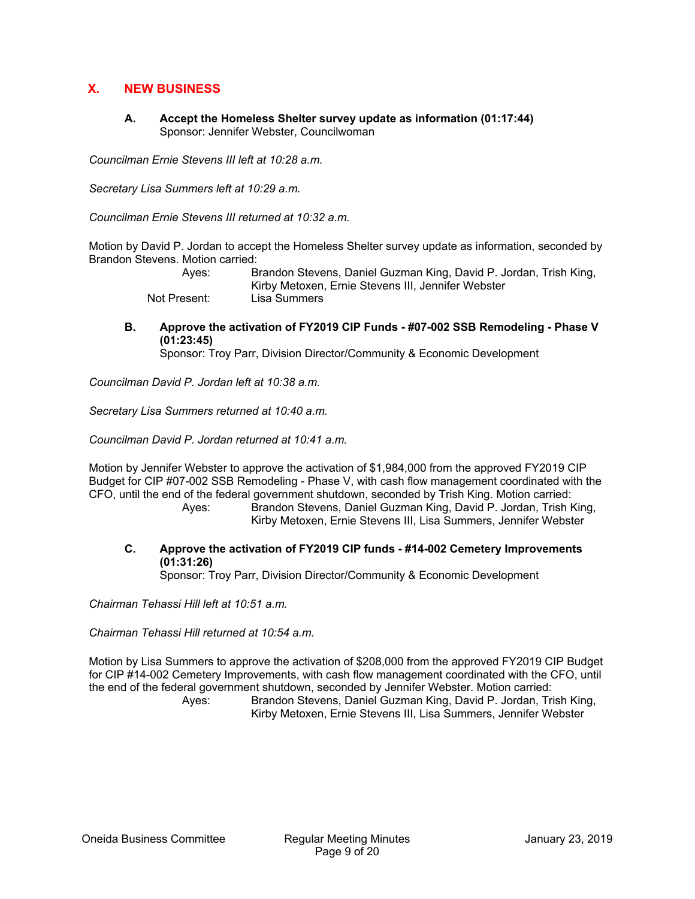# **X. NEW BUSINESS**

**A. Accept the Homeless Shelter survey update as information (01:17:44)**  Sponsor: Jennifer Webster, Councilwoman

*Councilman Ernie Stevens III left at 10:28 a.m.* 

*Secretary Lisa Summers left at 10:29 a.m.* 

*Councilman Ernie Stevens III returned at 10:32 a.m.* 

Motion by David P. Jordan to accept the Homeless Shelter survey update as information, seconded by Brandon Stevens. Motion carried:

| Aves:        | Brandon Stevens, Daniel Guzman King, David P. Jordan, Trish King, |
|--------------|-------------------------------------------------------------------|
|              | Kirby Metoxen, Ernie Stevens III, Jennifer Webster                |
| Not Present: | Lisa Summers                                                      |

**B. Approve the activation of FY2019 CIP Funds - #07-002 SSB Remodeling - Phase V (01:23:45)** 

Sponsor: Troy Parr, Division Director/Community & Economic Development

*Councilman David P. Jordan left at 10:38 a.m.* 

*Secretary Lisa Summers returned at 10:40 a.m.* 

*Councilman David P. Jordan returned at 10:41 a.m.* 

Motion by Jennifer Webster to approve the activation of \$1,984,000 from the approved FY2019 CIP Budget for CIP #07-002 SSB Remodeling - Phase V, with cash flow management coordinated with the CFO, until the end of the federal government shutdown, seconded by Trish King. Motion carried: Ayes: Brandon Stevens, Daniel Guzman King, David P. Jordan, Trish King,

Kirby Metoxen, Ernie Stevens III, Lisa Summers, Jennifer Webster

**C. Approve the activation of FY2019 CIP funds - #14-002 Cemetery Improvements (01:31:26)** 

Sponsor: Troy Parr, Division Director/Community & Economic Development

*Chairman Tehassi Hill left at 10:51 a.m.* 

*Chairman Tehassi Hill returned at 10:54 a.m.* 

Motion by Lisa Summers to approve the activation of \$208,000 from the approved FY2019 CIP Budget for CIP #14-002 Cemetery Improvements, with cash flow management coordinated with the CFO, until the end of the federal government shutdown, seconded by Jennifer Webster. Motion carried: Ayes: Brandon Stevens, Daniel Guzman King, David P. Jordan, Trish King, Kirby Metoxen, Ernie Stevens III, Lisa Summers, Jennifer Webster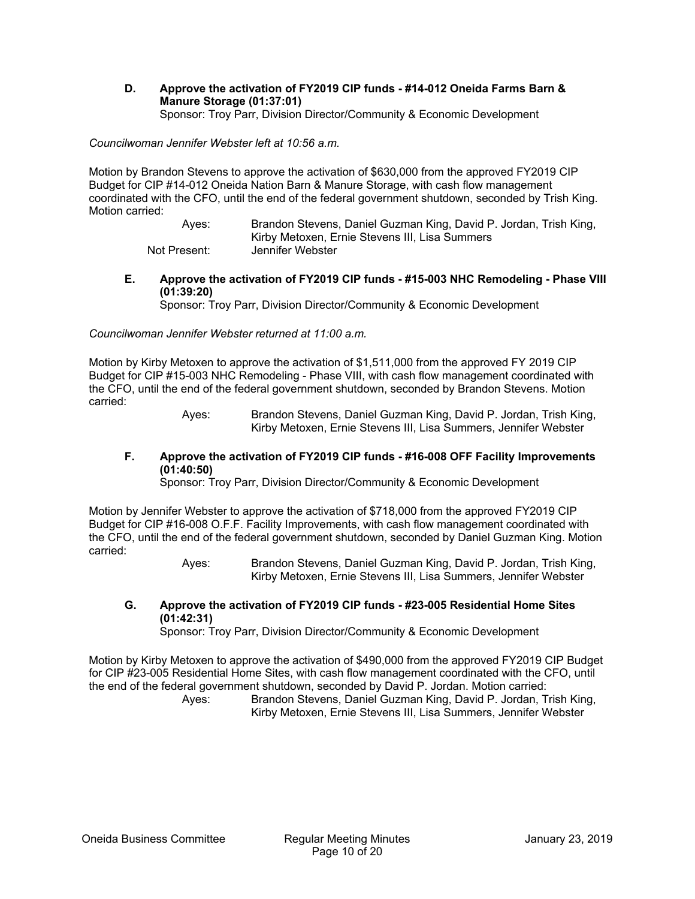**D. Approve the activation of FY2019 CIP funds - #14-012 Oneida Farms Barn & Manure Storage (01:37:01)**  Sponsor: Troy Parr, Division Director/Community & Economic Development

*Councilwoman Jennifer Webster left at 10:56 a.m.* 

Motion by Brandon Stevens to approve the activation of \$630,000 from the approved FY2019 CIP Budget for CIP #14-012 Oneida Nation Barn & Manure Storage, with cash flow management coordinated with the CFO, until the end of the federal government shutdown, seconded by Trish King. Motion carried:

> Ayes: Brandon Stevens, Daniel Guzman King, David P. Jordan, Trish King, Kirby Metoxen, Ernie Stevens III, Lisa Summers Not Present: Jennifer Webster

**E. Approve the activation of FY2019 CIP funds - #15-003 NHC Remodeling - Phase VIII (01:39:20)** 

Sponsor: Troy Parr, Division Director/Community & Economic Development

*Councilwoman Jennifer Webster returned at 11:00 a.m.* 

Motion by Kirby Metoxen to approve the activation of \$1,511,000 from the approved FY 2019 CIP Budget for CIP #15-003 NHC Remodeling - Phase VIII, with cash flow management coordinated with the CFO, until the end of the federal government shutdown, seconded by Brandon Stevens. Motion carried:

> Ayes: Brandon Stevens, Daniel Guzman King, David P. Jordan, Trish King, Kirby Metoxen, Ernie Stevens III, Lisa Summers, Jennifer Webster

# **F. Approve the activation of FY2019 CIP funds - #16-008 OFF Facility Improvements (01:40:50)**

Sponsor: Troy Parr, Division Director/Community & Economic Development

Motion by Jennifer Webster to approve the activation of \$718,000 from the approved FY2019 CIP Budget for CIP #16-008 O.F.F. Facility Improvements, with cash flow management coordinated with the CFO, until the end of the federal government shutdown, seconded by Daniel Guzman King. Motion carried:

> Ayes: Brandon Stevens, Daniel Guzman King, David P. Jordan, Trish King, Kirby Metoxen, Ernie Stevens III, Lisa Summers, Jennifer Webster

**G. Approve the activation of FY2019 CIP funds - #23-005 Residential Home Sites (01:42:31)** 

Sponsor: Troy Parr, Division Director/Community & Economic Development

Motion by Kirby Metoxen to approve the activation of \$490,000 from the approved FY2019 CIP Budget for CIP #23-005 Residential Home Sites, with cash flow management coordinated with the CFO, until the end of the federal government shutdown, seconded by David P. Jordan. Motion carried: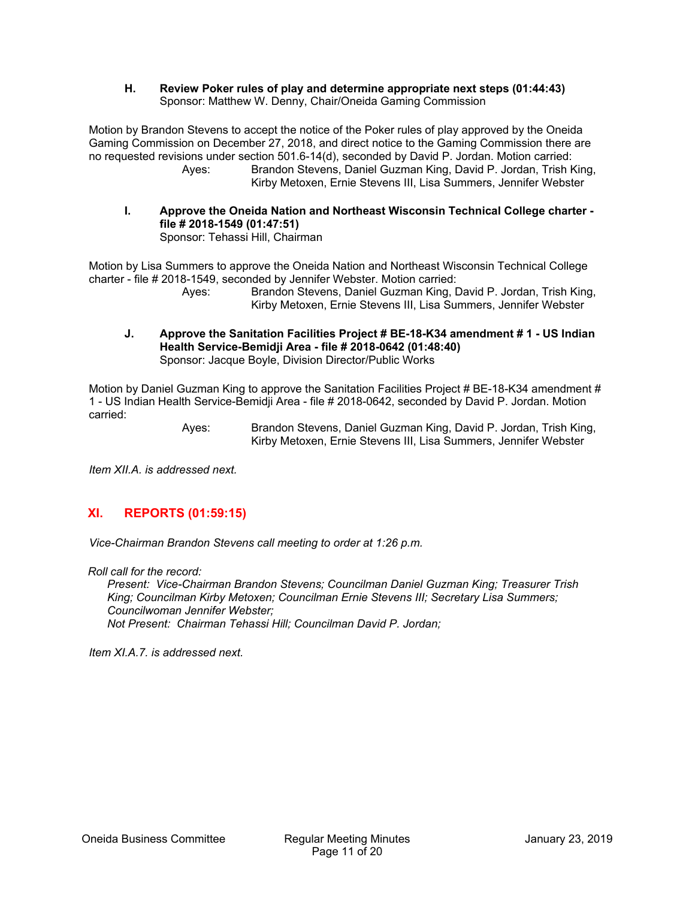**H. Review Poker rules of play and determine appropriate next steps (01:44:43)**  Sponsor: Matthew W. Denny, Chair/Oneida Gaming Commission

Motion by Brandon Stevens to accept the notice of the Poker rules of play approved by the Oneida Gaming Commission on December 27, 2018, and direct notice to the Gaming Commission there are no requested revisions under section 501.6-14(d), seconded by David P. Jordan. Motion carried: Ayes: Brandon Stevens, Daniel Guzman King, David P. Jordan, Trish King, Kirby Metoxen, Ernie Stevens III, Lisa Summers, Jennifer Webster

**I. Approve the Oneida Nation and Northeast Wisconsin Technical College charter file # 2018-1549 (01:47:51)**  Sponsor: Tehassi Hill, Chairman

Motion by Lisa Summers to approve the Oneida Nation and Northeast Wisconsin Technical College charter - file # 2018-1549, seconded by Jennifer Webster. Motion carried:

 Ayes: Brandon Stevens, Daniel Guzman King, David P. Jordan, Trish King, Kirby Metoxen, Ernie Stevens III, Lisa Summers, Jennifer Webster

**J. Approve the Sanitation Facilities Project # BE-18-K34 amendment # 1 - US Indian Health Service-Bemidji Area - file # 2018-0642 (01:48:40)**  Sponsor: Jacque Boyle, Division Director/Public Works

Motion by Daniel Guzman King to approve the Sanitation Facilities Project # BE-18-K34 amendment # 1 - US Indian Health Service-Bemidji Area - file # 2018-0642, seconded by David P. Jordan. Motion carried:

 Ayes: Brandon Stevens, Daniel Guzman King, David P. Jordan, Trish King, Kirby Metoxen, Ernie Stevens III, Lisa Summers, Jennifer Webster

*Item XII.A. is addressed next.* 

#### **XI. REPORTS (01:59:15)**

*Vice-Chairman Brandon Stevens call meeting to order at 1:26 p.m.* 

*Roll call for the record:* 

*Present: Vice-Chairman Brandon Stevens; Councilman Daniel Guzman King; Treasurer Trish King; Councilman Kirby Metoxen; Councilman Ernie Stevens III; Secretary Lisa Summers; Councilwoman Jennifer Webster; Not Present: Chairman Tehassi Hill; Councilman David P. Jordan;* 

*Item XI.A.7. is addressed next.*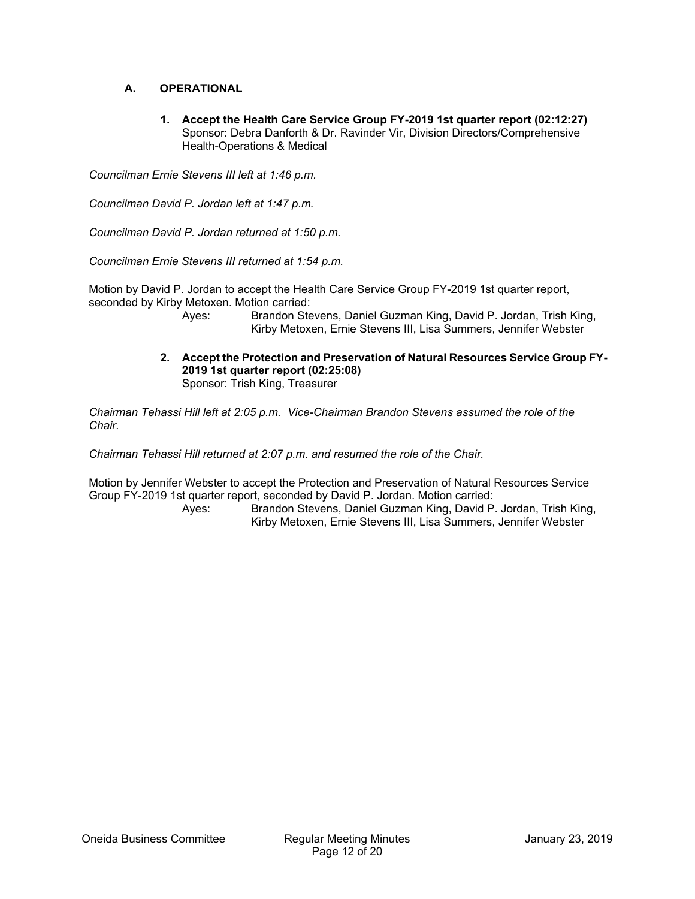# **A. OPERATIONAL**

**1. Accept the Health Care Service Group FY-2019 1st quarter report (02:12:27)**  Sponsor: Debra Danforth & Dr. Ravinder Vir, Division Directors/Comprehensive Health-Operations & Medical

*Councilman Ernie Stevens III left at 1:46 p.m.* 

*Councilman David P. Jordan left at 1:47 p.m.* 

*Councilman David P. Jordan returned at 1:50 p.m.* 

*Councilman Ernie Stevens III returned at 1:54 p.m.* 

Motion by David P. Jordan to accept the Health Care Service Group FY-2019 1st quarter report, seconded by Kirby Metoxen. Motion carried:

> Ayes: Brandon Stevens, Daniel Guzman King, David P. Jordan, Trish King, Kirby Metoxen, Ernie Stevens III, Lisa Summers, Jennifer Webster

**2. Accept the Protection and Preservation of Natural Resources Service Group FY-2019 1st quarter report (02:25:08)**  Sponsor: Trish King, Treasurer

*Chairman Tehassi Hill left at 2:05 p.m. Vice-Chairman Brandon Stevens assumed the role of the Chair.* 

*Chairman Tehassi Hill returned at 2:07 p.m. and resumed the role of the Chair.* 

Motion by Jennifer Webster to accept the Protection and Preservation of Natural Resources Service Group FY-2019 1st quarter report, seconded by David P. Jordan. Motion carried: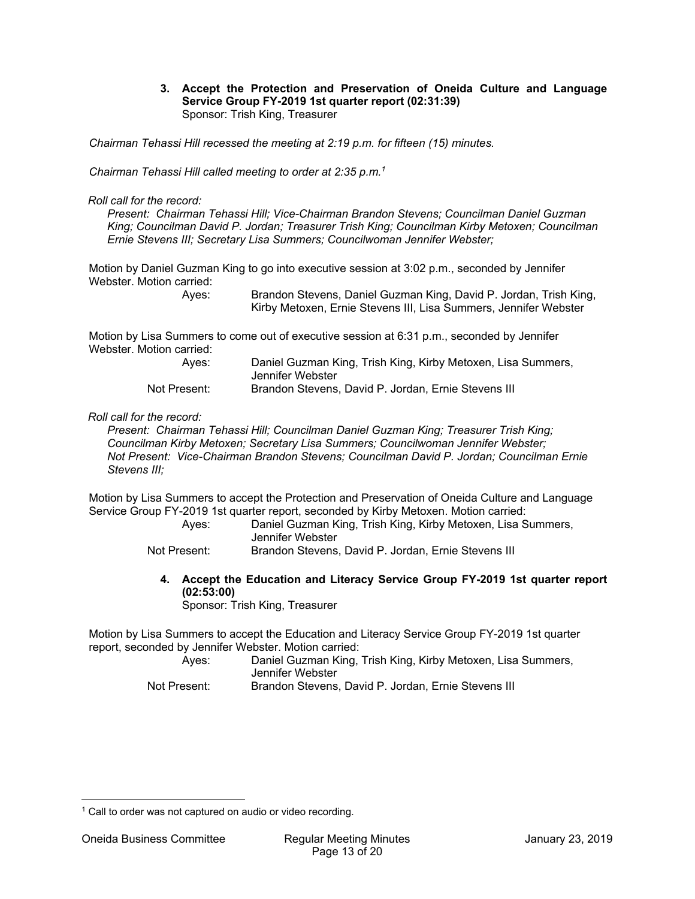**3. Accept the Protection and Preservation of Oneida Culture and Language Service Group FY-2019 1st quarter report (02:31:39)**  Sponsor: Trish King, Treasurer

*Chairman Tehassi Hill recessed the meeting at 2:19 p.m. for fifteen (15) minutes.* 

*Chairman Tehassi Hill called meeting to order at 2:35 p.m.1*

*Roll call for the record:* 

*Present: Chairman Tehassi Hill; Vice-Chairman Brandon Stevens; Councilman Daniel Guzman King; Councilman David P. Jordan; Treasurer Trish King; Councilman Kirby Metoxen; Councilman Ernie Stevens III; Secretary Lisa Summers; Councilwoman Jennifer Webster;* 

Motion by Daniel Guzman King to go into executive session at 3:02 p.m., seconded by Jennifer Webster. Motion carried:

 Ayes: Brandon Stevens, Daniel Guzman King, David P. Jordan, Trish King, Kirby Metoxen, Ernie Stevens III, Lisa Summers, Jennifer Webster

Motion by Lisa Summers to come out of executive session at 6:31 p.m., seconded by Jennifer Webster. Motion carried:

| Aves:        | Daniel Guzman King, Trish King, Kirby Metoxen, Lisa Summers, |
|--------------|--------------------------------------------------------------|
|              | Jennifer Webster                                             |
| Not Present: | Brandon Stevens, David P. Jordan, Ernie Stevens III          |

#### *Roll call for the record:*

*Present: Chairman Tehassi Hill; Councilman Daniel Guzman King; Treasurer Trish King; Councilman Kirby Metoxen; Secretary Lisa Summers; Councilwoman Jennifer Webster; Not Present: Vice-Chairman Brandon Stevens; Councilman David P. Jordan; Councilman Ernie Stevens III;* 

Motion by Lisa Summers to accept the Protection and Preservation of Oneida Culture and Language Service Group FY-2019 1st quarter report, seconded by Kirby Metoxen. Motion carried:

 Ayes: Daniel Guzman King, Trish King, Kirby Metoxen, Lisa Summers, Jennifer Webster

Not Present: Brandon Stevens, David P. Jordan, Ernie Stevens III

**4. Accept the Education and Literacy Service Group FY-2019 1st quarter report (02:53:00)** 

Sponsor: Trish King, Treasurer

Motion by Lisa Summers to accept the Education and Literacy Service Group FY-2019 1st quarter report, seconded by Jennifer Webster. Motion carried:

| Aves: | Daniel Guzman King, Trish King, Kirby Metoxen, Lisa Summers, |
|-------|--------------------------------------------------------------|
|       | Jennifer Webster                                             |
|       |                                                              |

Not Present: Brandon Stevens, David P. Jordan, Ernie Stevens III

 $\overline{a}$ <sup>1</sup> Call to order was not captured on audio or video recording.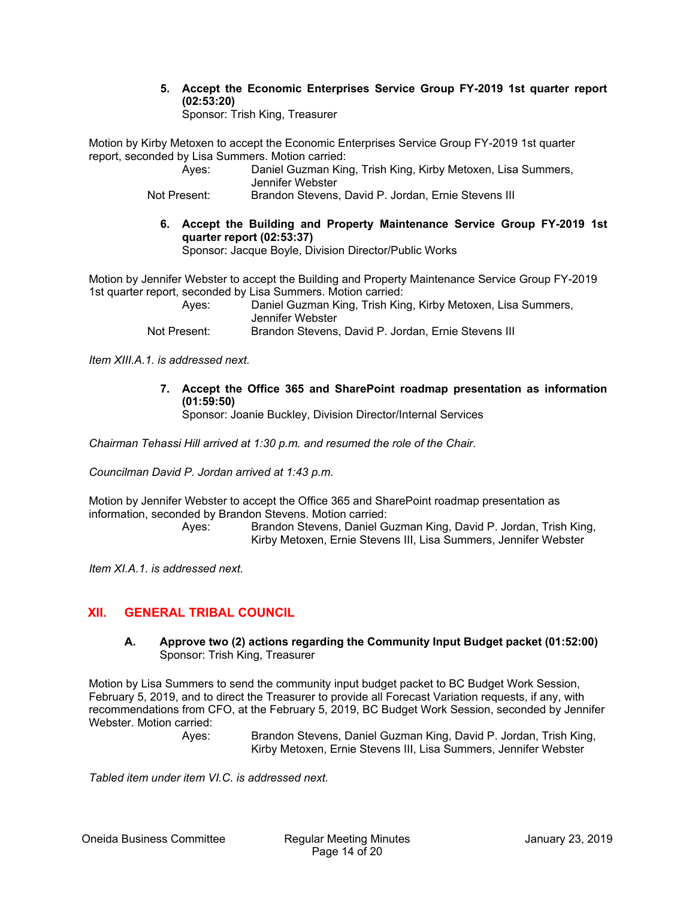**5. Accept the Economic Enterprises Service Group FY-2019 1st quarter report (02:53:20)** 

Sponsor: Trish King, Treasurer

Motion by Kirby Metoxen to accept the Economic Enterprises Service Group FY-2019 1st quarter report, seconded by Lisa Summers. Motion carried:

| Aves:        | Daniel Guzman King, Trish King, Kirby Metoxen, Lisa Summers, |
|--------------|--------------------------------------------------------------|
|              | Jennifer Webster                                             |
| Not Present: | Brandon Stevens, David P. Jordan, Ernie Stevens III          |

**6. Accept the Building and Property Maintenance Service Group FY-2019 1st quarter report (02:53:37)**  Sponsor: Jacque Boyle, Division Director/Public Works

Motion by Jennifer Webster to accept the Building and Property Maintenance Service Group FY-2019 1st quarter report, seconded by Lisa Summers. Motion carried:

 Ayes: Daniel Guzman King, Trish King, Kirby Metoxen, Lisa Summers, Jennifer Webster Not Present: Brandon Stevens, David P. Jordan, Ernie Stevens III

*Item XIII.A.1. is addressed next.* 

**7. Accept the Office 365 and SharePoint roadmap presentation as information (01:59:50)** 

Sponsor: Joanie Buckley, Division Director/Internal Services

*Chairman Tehassi Hill arrived at 1:30 p.m. and resumed the role of the Chair.* 

*Councilman David P. Jordan arrived at 1:43 p.m.* 

Motion by Jennifer Webster to accept the Office 365 and SharePoint roadmap presentation as information, seconded by Brandon Stevens. Motion carried:

 Ayes: Brandon Stevens, Daniel Guzman King, David P. Jordan, Trish King, Kirby Metoxen, Ernie Stevens III, Lisa Summers, Jennifer Webster

*Item XI.A.1. is addressed next.* 

# **XII. GENERAL TRIBAL COUNCIL**

**A. Approve two (2) actions regarding the Community Input Budget packet (01:52:00)**  Sponsor: Trish King, Treasurer

Motion by Lisa Summers to send the community input budget packet to BC Budget Work Session, February 5, 2019, and to direct the Treasurer to provide all Forecast Variation requests, if any, with recommendations from CFO, at the February 5, 2019, BC Budget Work Session, seconded by Jennifer Webster. Motion carried:

 Ayes: Brandon Stevens, Daniel Guzman King, David P. Jordan, Trish King, Kirby Metoxen, Ernie Stevens III, Lisa Summers, Jennifer Webster

*Tabled item under item VI.C. is addressed next.*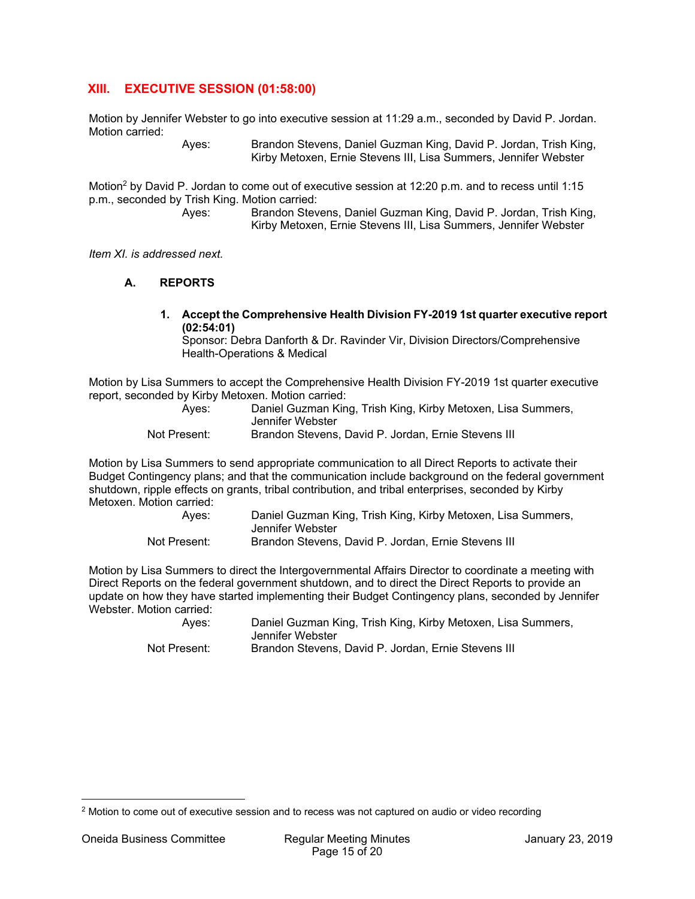# **XIII. EXECUTIVE SESSION (01:58:00)**

Motion by Jennifer Webster to go into executive session at 11:29 a.m., seconded by David P. Jordan. Motion carried:

 Ayes: Brandon Stevens, Daniel Guzman King, David P. Jordan, Trish King, Kirby Metoxen, Ernie Stevens III, Lisa Summers, Jennifer Webster

Motion2 by David P. Jordan to come out of executive session at 12:20 p.m. and to recess until 1:15 p.m., seconded by Trish King. Motion carried:

 Ayes: Brandon Stevens, Daniel Guzman King, David P. Jordan, Trish King, Kirby Metoxen, Ernie Stevens III, Lisa Summers, Jennifer Webster

*Item XI. is addressed next.* 

#### **A. REPORTS**

**1. Accept the Comprehensive Health Division FY-2019 1st quarter executive report (02:54:01)** 

Sponsor: Debra Danforth & Dr. Ravinder Vir, Division Directors/Comprehensive Health-Operations & Medical

Motion by Lisa Summers to accept the Comprehensive Health Division FY-2019 1st quarter executive report, seconded by Kirby Metoxen. Motion carried:

| Aves:        | Daniel Guzman King, Trish King, Kirby Metoxen, Lisa Summers, |
|--------------|--------------------------------------------------------------|
|              | Jennifer Webster                                             |
| Not Present: | Brandon Stevens, David P. Jordan, Ernie Stevens III          |

Motion by Lisa Summers to send appropriate communication to all Direct Reports to activate their Budget Contingency plans; and that the communication include background on the federal government shutdown, ripple effects on grants, tribal contribution, and tribal enterprises, seconded by Kirby Metoxen. Motion carried:

| Aves:        | Daniel Guzman King, Trish King, Kirby Metoxen, Lisa Summers, |
|--------------|--------------------------------------------------------------|
|              | Jennifer Webster                                             |
| Not Present: | Brandon Stevens, David P. Jordan, Ernie Stevens III          |

Motion by Lisa Summers to direct the Intergovernmental Affairs Director to coordinate a meeting with Direct Reports on the federal government shutdown, and to direct the Direct Reports to provide an update on how they have started implementing their Budget Contingency plans, seconded by Jennifer Webster. Motion carried:

| Aves:        | Daniel Guzman King, Trish King, Kirby Metoxen, Lisa Summers,<br>Jennifer Webster |
|--------------|----------------------------------------------------------------------------------|
| Not Present: | Brandon Stevens, David P. Jordan, Ernie Stevens III                              |

 $\overline{a}$ 

<sup>&</sup>lt;sup>2</sup> Motion to come out of executive session and to recess was not captured on audio or video recording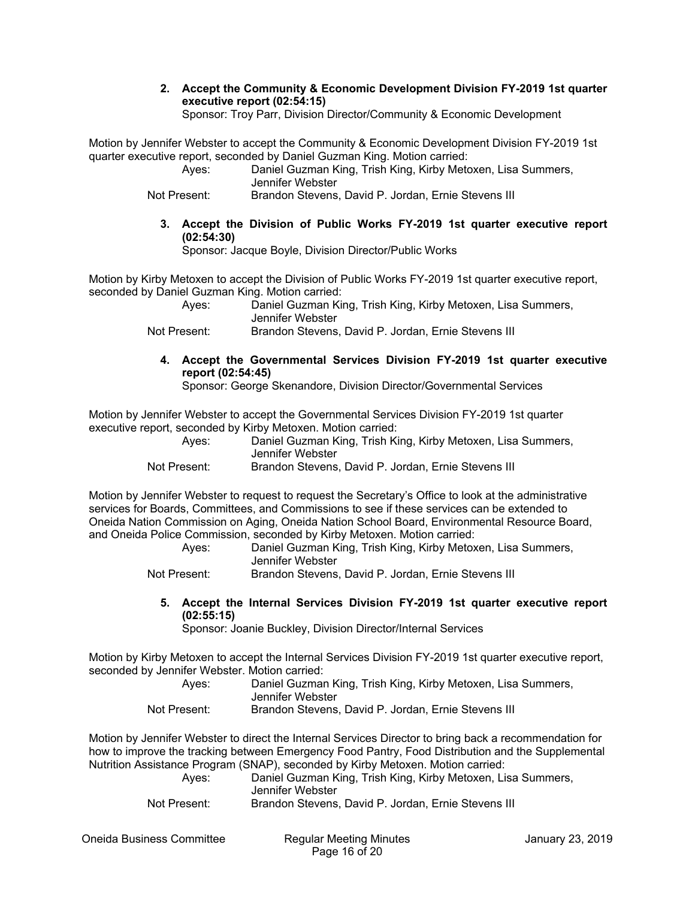**2. Accept the Community & Economic Development Division FY-2019 1st quarter executive report (02:54:15)** 

Sponsor: Troy Parr, Division Director/Community & Economic Development

Motion by Jennifer Webster to accept the Community & Economic Development Division FY-2019 1st quarter executive report, seconded by Daniel Guzman King. Motion carried:

| Aves:        | Daniel Guzman King, Trish King, Kirby Metoxen, Lisa Summers, |
|--------------|--------------------------------------------------------------|
|              | Jennifer Webster                                             |
| Not Present: | Brandon Stevens, David P. Jordan, Ernie Stevens III          |

**3. Accept the Division of Public Works FY-2019 1st quarter executive report (02:54:30)** 

Sponsor: Jacque Boyle, Division Director/Public Works

Motion by Kirby Metoxen to accept the Division of Public Works FY-2019 1st quarter executive report, seconded by Daniel Guzman King. Motion carried:

 Ayes: Daniel Guzman King, Trish King, Kirby Metoxen, Lisa Summers, Jennifer Webster

- Not Present: Brandon Stevens, David P. Jordan, Ernie Stevens III
	- **4. Accept the Governmental Services Division FY-2019 1st quarter executive report (02:54:45)**

Sponsor: George Skenandore, Division Director/Governmental Services

Motion by Jennifer Webster to accept the Governmental Services Division FY-2019 1st quarter executive report, seconded by Kirby Metoxen. Motion carried:

| Aves:       | Daniel Guzman King, Trish King, Kirby Metoxen, Lisa Summers, |
|-------------|--------------------------------------------------------------|
|             | Jennifer Webster                                             |
| Nat Dessart | Drondon Ctourne, Douid D. Jarden, Ernie Ctourne, III         |

Not Present: Brandon Stevens, David P. Jordan, Ernie Stevens III

Motion by Jennifer Webster to request to request the Secretary's Office to look at the administrative services for Boards, Committees, and Commissions to see if these services can be extended to Oneida Nation Commission on Aging, Oneida Nation School Board, Environmental Resource Board, and Oneida Police Commission, seconded by Kirby Metoxen. Motion carried:

 Ayes: Daniel Guzman King, Trish King, Kirby Metoxen, Lisa Summers, Jennifer Webster

Not Present: Brandon Stevens, David P. Jordan, Ernie Stevens III

**5. Accept the Internal Services Division FY-2019 1st quarter executive report (02:55:15)** 

Sponsor: Joanie Buckley, Division Director/Internal Services

Motion by Kirby Metoxen to accept the Internal Services Division FY-2019 1st quarter executive report, seconded by Jennifer Webster. Motion carried:

| Aves:        | Daniel Guzman King, Trish King, Kirby Metoxen, Lisa Summers, |
|--------------|--------------------------------------------------------------|
|              | Jennifer Webster                                             |
| Not Present: | Brandon Stevens, David P. Jordan, Ernie Stevens III          |

Motion by Jennifer Webster to direct the Internal Services Director to bring back a recommendation for how to improve the tracking between Emergency Food Pantry, Food Distribution and the Supplemental Nutrition Assistance Program (SNAP), seconded by Kirby Metoxen. Motion carried:

| Aves:        | Daniel Guzman King, Trish King, Kirby Metoxen, Lisa Summers, |
|--------------|--------------------------------------------------------------|
|              | Jennifer Webster                                             |
| Not Present: | Brandon Stevens, David P. Jordan, Ernie Stevens III          |

Oneida Business Committee Regular Meeting Minutes January 23, 2019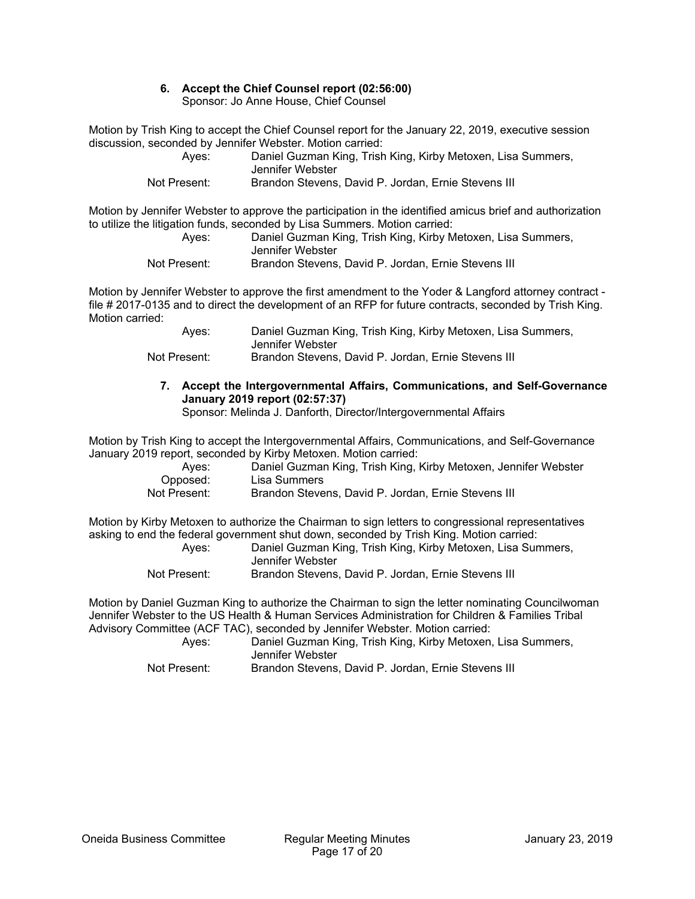# **6. Accept the Chief Counsel report (02:56:00)**

Sponsor: Jo Anne House, Chief Counsel

Motion by Trish King to accept the Chief Counsel report for the January 22, 2019, executive session discussion, seconded by Jennifer Webster. Motion carried:

| Aves:        | Daniel Guzman King, Trish King, Kirby Metoxen, Lisa Summers, |
|--------------|--------------------------------------------------------------|
|              | Jennifer Webster                                             |
| Not Present: | Brandon Stevens, David P. Jordan, Ernie Stevens III          |

Motion by Jennifer Webster to approve the participation in the identified amicus brief and authorization to utilize the litigation funds, seconded by Lisa Summers. Motion carried:

 Ayes: Daniel Guzman King, Trish King, Kirby Metoxen, Lisa Summers, Jennifer Webster Not Present: Brandon Stevens, David P. Jordan, Ernie Stevens III

Motion by Jennifer Webster to approve the first amendment to the Yoder & Langford attorney contract file # 2017-0135 and to direct the development of an RFP for future contracts, seconded by Trish King. Motion carried:

| Aves:        | Daniel Guzman King, Trish King, Kirby Metoxen, Lisa Summers, |
|--------------|--------------------------------------------------------------|
|              | Jennifer Webster                                             |
| Not Present: | Brandon Stevens, David P. Jordan, Ernie Stevens III          |

# **7. Accept the Intergovernmental Affairs, Communications, and Self-Governance January 2019 report (02:57:37)**

Sponsor: Melinda J. Danforth, Director/Intergovernmental Affairs

Motion by Trish King to accept the Intergovernmental Affairs, Communications, and Self-Governance January 2019 report, seconded by Kirby Metoxen. Motion carried:

| Aves:        | Daniel Guzman King, Trish King, Kirby Metoxen, Jennifer Webster |
|--------------|-----------------------------------------------------------------|
| Opposed:     | Lisa Summers                                                    |
| Not Present: | Brandon Stevens, David P. Jordan, Ernie Stevens III             |

Motion by Kirby Metoxen to authorize the Chairman to sign letters to congressional representatives asking to end the federal government shut down, seconded by Trish King. Motion carried:

| Aves:        | Daniel Guzman King, Trish King, Kirby Metoxen, Lisa Summers, |
|--------------|--------------------------------------------------------------|
|              | Jennifer Webster                                             |
| Not Present: | Brandon Stevens, David P. Jordan, Ernie Stevens III          |

Motion by Daniel Guzman King to authorize the Chairman to sign the letter nominating Councilwoman Jennifer Webster to the US Health & Human Services Administration for Children & Families Tribal Advisory Committee (ACF TAC), seconded by Jennifer Webster. Motion carried:

 Ayes: Daniel Guzman King, Trish King, Kirby Metoxen, Lisa Summers, Jennifer Webster Not Present: Brandon Stevens, David P. Jordan, Ernie Stevens III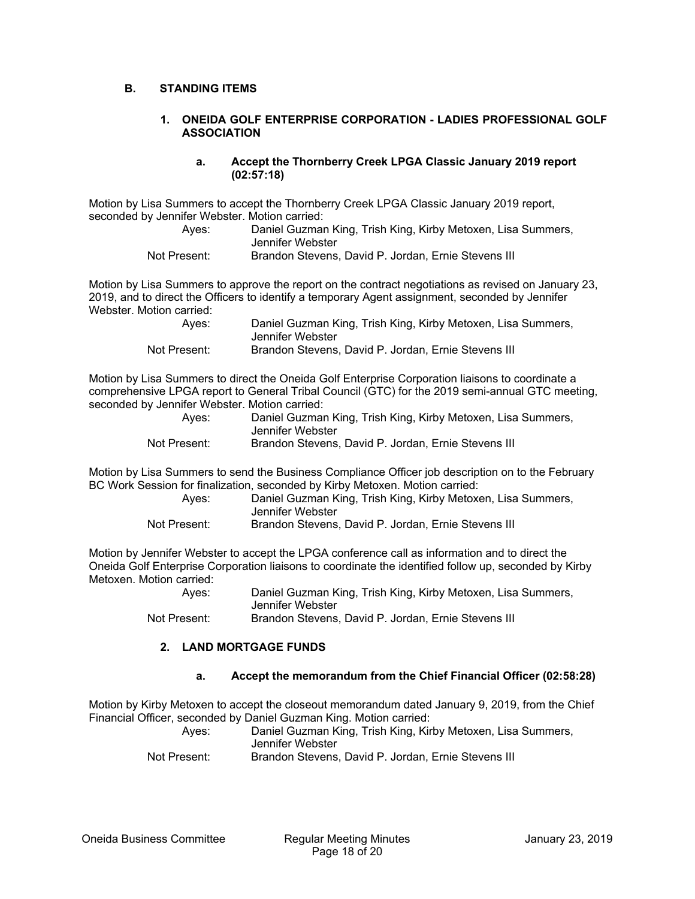#### **B. STANDING ITEMS**

#### **1. ONEIDA GOLF ENTERPRISE CORPORATION - LADIES PROFESSIONAL GOLF ASSOCIATION**

#### **a. Accept the Thornberry Creek LPGA Classic January 2019 report (02:57:18)**

Motion by Lisa Summers to accept the Thornberry Creek LPGA Classic January 2019 report, seconded by Jennifer Webster. Motion carried:

| Aves:        | Daniel Guzman King, Trish King, Kirby Metoxen, Lisa Summers,<br>Jennifer Webster |
|--------------|----------------------------------------------------------------------------------|
| Not Present: | Brandon Stevens, David P. Jordan, Ernie Stevens III                              |

Motion by Lisa Summers to approve the report on the contract negotiations as revised on January 23, 2019, and to direct the Officers to identify a temporary Agent assignment, seconded by Jennifer Webster. Motion carried:

| Aves:        | Daniel Guzman King, Trish King, Kirby Metoxen, Lisa Summers, |
|--------------|--------------------------------------------------------------|
|              | Jennifer Webster                                             |
| Not Present: | Brandon Stevens, David P. Jordan, Ernie Stevens III          |

Motion by Lisa Summers to direct the Oneida Golf Enterprise Corporation liaisons to coordinate a comprehensive LPGA report to General Tribal Council (GTC) for the 2019 semi-annual GTC meeting, seconded by Jennifer Webster. Motion carried:

| Aves:        | Daniel Guzman King, Trish King, Kirby Metoxen, Lisa Summers, |
|--------------|--------------------------------------------------------------|
|              | Jennifer Webster                                             |
| Not Present: | Brandon Stevens, David P. Jordan, Ernie Stevens III          |

Motion by Lisa Summers to send the Business Compliance Officer job description on to the February BC Work Session for finalization, seconded by Kirby Metoxen. Motion carried:

| Aves:        | Daniel Guzman King, Trish King, Kirby Metoxen, Lisa Summers, |
|--------------|--------------------------------------------------------------|
|              | Jennifer Webster                                             |
| Not Present: | Brandon Stevens, David P. Jordan, Ernie Stevens III          |

Motion by Jennifer Webster to accept the LPGA conference call as information and to direct the Oneida Golf Enterprise Corporation liaisons to coordinate the identified follow up, seconded by Kirby Metoxen. Motion carried:

 Ayes: Daniel Guzman King, Trish King, Kirby Metoxen, Lisa Summers, Jennifer Webster Not Present: Brandon Stevens, David P. Jordan, Ernie Stevens III

#### **2. LAND MORTGAGE FUNDS**

#### **a. Accept the memorandum from the Chief Financial Officer (02:58:28)**

Motion by Kirby Metoxen to accept the closeout memorandum dated January 9, 2019, from the Chief Financial Officer, seconded by Daniel Guzman King. Motion carried:

| Aves:        | Daniel Guzman King, Trish King, Kirby Metoxen, Lisa Summers, |
|--------------|--------------------------------------------------------------|
|              | Jennifer Webster                                             |
| Not Present: | Brandon Stevens, David P. Jordan, Ernie Stevens III          |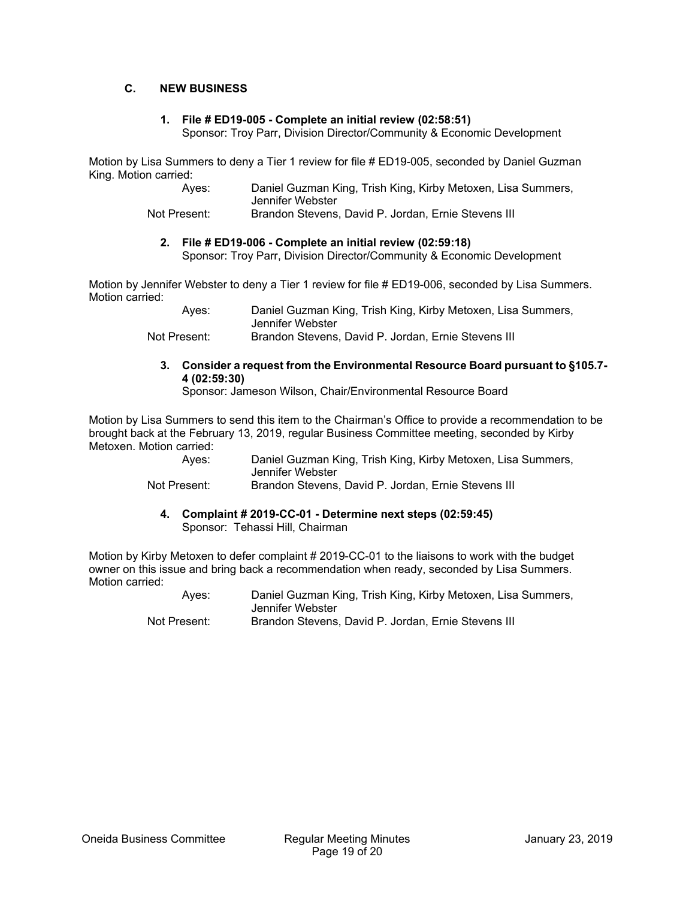#### **C. NEW BUSINESS**

#### **1. File # ED19-005 - Complete an initial review (02:58:51)**

Sponsor: Troy Parr, Division Director/Community & Economic Development

Motion by Lisa Summers to deny a Tier 1 review for file # ED19-005, seconded by Daniel Guzman King. Motion carried:

 Ayes: Daniel Guzman King, Trish King, Kirby Metoxen, Lisa Summers, Jennifer Webster

Not Present: Brandon Stevens, David P. Jordan, Ernie Stevens III

# **2. File # ED19-006 - Complete an initial review (02:59:18)**

Sponsor: Troy Parr, Division Director/Community & Economic Development

Motion by Jennifer Webster to deny a Tier 1 review for file # ED19-006, seconded by Lisa Summers. Motion carried:

> Ayes: Daniel Guzman King, Trish King, Kirby Metoxen, Lisa Summers, Jennifer Webster Not Present: Brandon Stevens, David P. Jordan, Ernie Stevens III

**3. Consider a request from the Environmental Resource Board pursuant to §105.7- 4 (02:59:30)** 

Sponsor: Jameson Wilson, Chair/Environmental Resource Board

Motion by Lisa Summers to send this item to the Chairman's Office to provide a recommendation to be brought back at the February 13, 2019, regular Business Committee meeting, seconded by Kirby Metoxen. Motion carried:

 Ayes: Daniel Guzman King, Trish King, Kirby Metoxen, Lisa Summers, Jennifer Webster

Not Present: Brandon Stevens, David P. Jordan, Ernie Stevens III

**4. Complaint # 2019-CC-01 - Determine next steps (02:59:45)**  Sponsor: Tehassi Hill, Chairman

Motion by Kirby Metoxen to defer complaint # 2019-CC-01 to the liaisons to work with the budget owner on this issue and bring back a recommendation when ready, seconded by Lisa Summers. Motion carried:

> Ayes: Daniel Guzman King, Trish King, Kirby Metoxen, Lisa Summers, Jennifer Webster Not Present: Brandon Stevens, David P. Jordan, Ernie Stevens III